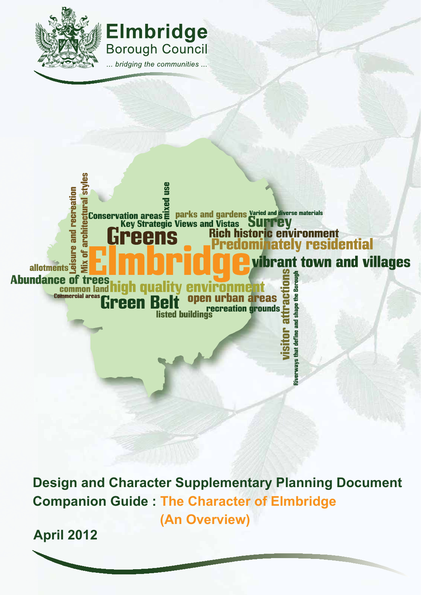





**Design and Character Supplementary Planning Document Companion Guide : The Character of Elmbridge (An Overview)**

**April 2012**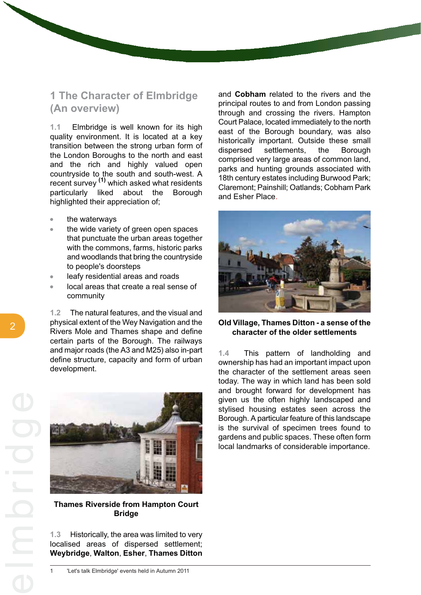# **1 The Character of Elmbridge (An overview)**

**1.1** Elmbridge is well known for its high quality environment. It is located at a key transition between the strong urban form of the London Boroughs to the north and east and the rich and highly valued open countryside to the south and south-west. A recent survey **(1)** which asked what residents particularly liked about the Borough highlighted their appreciation of;

- the waterways
- the wide variety of green open spaces that punctuate the urban areas together with the commons, farms, historic parks and woodlands that bring the countryside to people's doorsteps
- leafy residential areas and roads  $\bullet$
- local areas that create a real sense of community

**1.2** The natural features, and the visual and physical extent of the Wey Navigation and the Rivers Mole and Thames shape and define certain parts of the Borough. The railways and major roads (the A3 and M25) also in-part define structure, capacity and form of urban development.



**Thames Riverside from Hampton Court Bridge**

**1.3** Historically, the area was limited to very localised areas of dispersed settlement; **Weybridge**, **Walton**, **Esher**, **Thames Ditton** and **Cobham** related to the rivers and the principal routes to and from London passing through and crossing the rivers. Hampton Court Palace, located immediately to the north east of the Borough boundary, was also historically important. Outside these small dispersed settlements, the Borough comprised very large areas of common land, parks and hunting grounds associated with 18th century estates including Burwood Park; Claremont; Painshill; Oatlands; Cobham Park and Esher Place.



**Old Village, Thames Ditton - a sense of the character of the older settlements**

**1.4** This pattern of landholding and ownership has had an important impact upon the character of the settlement areas seen today. The way in which land has been sold and brought forward for development has given us the often highly landscaped and stylised housing estates seen across the Borough. A particular feature of this landscape is the survival of specimen trees found to gardens and public spaces. These often form local landmarks of considerable importance.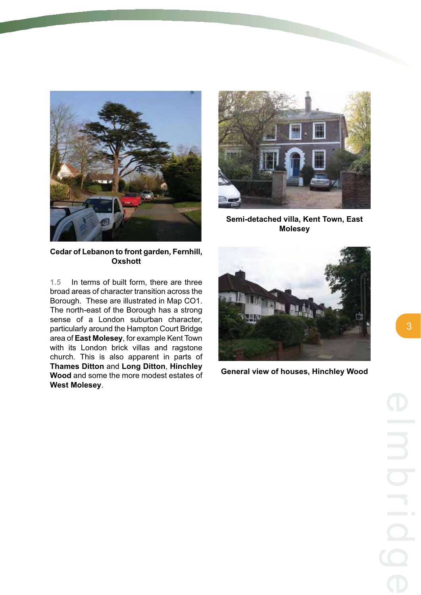



**Semi-detached villa, Kent Town, East Molesey**

**Cedar of Lebanon to front garden, Fernhill, Oxshott**

**1.5** In terms of built form, there are three broad areas of character transition across the Borough. These are illustrated in Map CO1. The north-east of the Borough has a strong sense of a London suburban character, particularly around the Hampton Court Bridge area of **East Molesey**, for example Kent Town with its London brick villas and ragstone church. This is also apparent in parts of **Thames Ditton** and **Long Ditton**, **Hinchley Wood** and some the more modest estates of **West Molesey**.



**General view of houses, Hinchley Wood**

3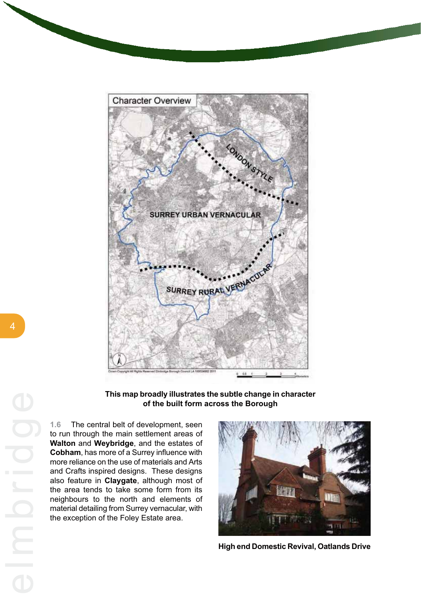

**This map broadly illustrates the subtle change in character of the built form across the Borough**

**1.6** The central belt of development, seen to run through the main settlement areas of **Walton** and **Weybridge**, and the estates of **Cobham**, has more of a Surrey influence with more reliance on the use of materials and Arts and Crafts inspired designs. These designs also feature in **Claygate**, although most of the area tends to take some form from its neighbours to the north and elements of material detailing from Surrey vernacular, with the exception of the Foley Estate area.



**High end Domestic Revival, Oatlands Drive**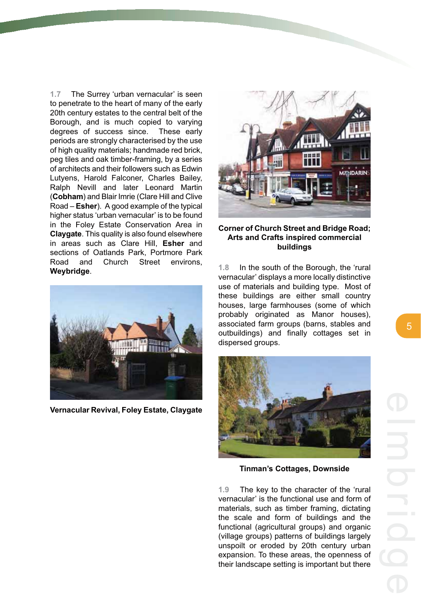**1.7** The Surrey 'urban vernacular' is seen to penetrate to the heart of many of the early 20th century estates to the central belt of the Borough, and is much copied to varying degrees of success since. These early periods are strongly characterised by the use of high quality materials; handmade red brick, peg tiles and oak timber-framing, by a series of architects and their followers such as Edwin Lutyens, Harold Falconer, Charles Bailey, Ralph Nevill and later Leonard Martin (**Cobham**) and Blair Imrie (Clare Hill and Clive Road – **Esher**). A good example of the typical higher status 'urban vernacular' is to be found in the Foley Estate Conservation Area in **Claygate**. This quality is also found elsewhere in areas such as Clare Hill, **Esher** and sections of Oatlands Park, Portmore Park Road and Church Street environs, **Weybridge**.



**Vernacular Revival, Foley Estate, Claygate**



### **Corner of Church Street and Bridge Road; Arts and Crafts inspired commercial buildings**

**1.8** In the south of the Borough, the 'rural vernacular' displays a more locally distinctive use of materials and building type. Most of these buildings are either small country houses, large farmhouses (some of which probably originated as Manor houses), associated farm groups (barns, stables and outbuildings) and finally cottages set in dispersed groups.



**Tinman's Cottages, Downside**

**1.9** The key to the character of the 'rural vernacular' is the functional use and form of materials, such as timber framing, dictating the scale and form of buildings and the functional (agricultural groups) and organic (village groups) patterns of buildings largely unspoilt or eroded by 20th century urban expansion. To these areas, the openness of their landscape setting is important but there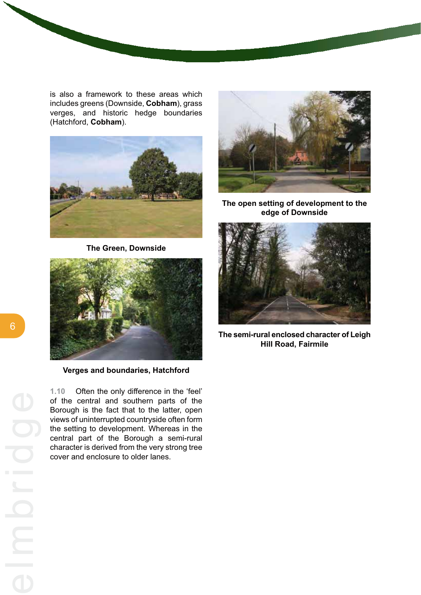is also a framework to these areas which includes greens (Downside, **Cobham**), grass verges, and historic hedge boundaries (Hatchford, **Cobham**).



**The Green, Downside**



**Verges and boundaries, Hatchford**

**1.10** Often the only difference in the 'feel' of the central and southern parts of the Borough is the fact that to the latter, open views of uninterrupted countryside often form the setting to development. Whereas in the central part of the Borough a semi-rural character is derived from the very strong tree cover and enclosure to older lanes.



**The open setting of development to the edge of Downside**



**The semi-rural enclosed character of Leigh Hill Road, Fairmile**

6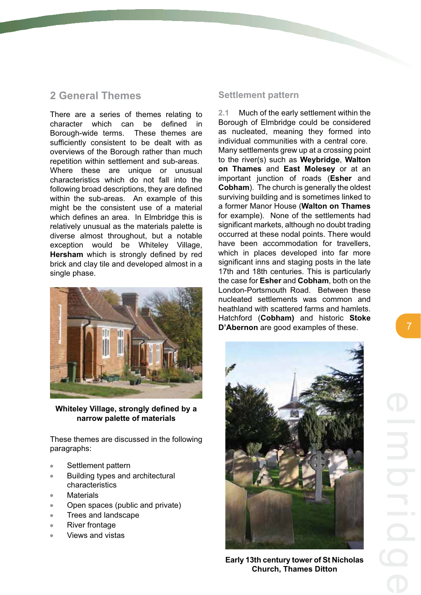# **2 General Themes**

There are a series of themes relating to character which can be defined in Borough-wide terms. These themes are sufficiently consistent to be dealt with as overviews of the Borough rather than much repetition within settlement and sub-areas. Where these are unique or unusual characteristics which do not fall into the following broad descriptions, they are defined within the sub-areas. An example of this might be the consistent use of a material which defines an area. In Elmbridge this is relatively unusual as the materials palette is diverse almost throughout, but a notable exception would be Whiteley Village, **Hersham** which is strongly defined by red brick and clay tile and developed almost in a single phase.



**Whiteley Village, strongly defined by a narrow palette of materials**

These themes are discussed in the following paragraphs:

- $\bullet$ Settlement pattern
- Building types and architectural  $\bullet$ characteristics
- **Materials**  $\rightarrow$
- Open spaces (public and private)  $\blacksquare$
- $\bullet$ Trees and landscape
- River frontage  $\bullet$
- Views and vistas  $\overline{a}$

## **Settlement pattern**

**2.1** Much of the early settlement within the Borough of Elmbridge could be considered as nucleated, meaning they formed into individual communities with a central core. Many settlements grew up at a crossing point to the river(s) such as **Weybridge**, **Walton on Thames** and **East Molesey** or at an important junction of roads (**Esher** and **Cobham**). The church is generally the oldest surviving building and is sometimes linked to a former Manor House (**Walton on Thames** for example). None of the settlements had significant markets, although no doubt trading occurred at these nodal points. There would have been accommodation for travellers, which in places developed into far more significant inns and staging posts in the late 17th and 18th centuries. This is particularly the case for **Esher** and **Cobham**, both on the London-Portsmouth Road. Between these nucleated settlements was common and heathland with scattered farms and hamlets. Hatchford (**Cobham)** and historic **Stoke D'Abernon** are good examples of these.



**Early 13th century tower of St Nicholas Church, Thames Ditton**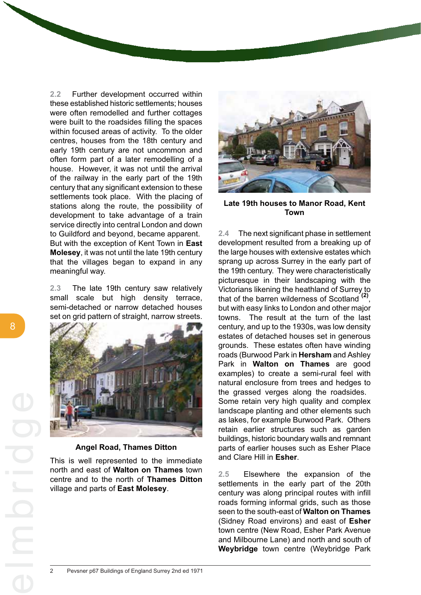**2.2** Further development occurred within these established historic settlements; houses were often remodelled and further cottages were built to the roadsides filling the spaces within focused areas of activity. To the older centres, houses from the 18th century and early 19th century are not uncommon and often form part of a later remodelling of a house. However, it was not until the arrival of the railway in the early part of the 19th century that any significant extension to these settlements took place. With the placing of stations along the route, the possibility of development to take advantage of a train service directly into central London and down to Guildford and beyond, became apparent. But with the exception of Kent Town in **East Molesey**, it was not until the late 19th century that the villages began to expand in any meaningful way.

**2.3** The late 19th century saw relatively small scale but high density terrace, semi-detached or narrow detached houses set on grid pattern of straight, narrow streets.



### **Angel Road, Thames Ditton**

This is well represented to the immediate north and east of **Walton on Thames** town centre and to the north of **Thames Ditton** village and parts of **East Molesey**.



**Late 19th houses to Manor Road, Kent Town**

**2.4** The next significant phase in settlement development resulted from a breaking up of the large houses with extensive estates which sprang up across Surrey in the early part of the 19th century. They were characteristically picturesque in their landscaping with the Victorians likening the heathland of Surrey to that of the barren wilderness of Scotland **(2)**, but with easy links to London and other major towns. The result at the turn of the last century, and up to the 1930s, was low density estates of detached houses set in generous grounds. These estates often have winding roads (Burwood Park in **Hersham** and Ashley Park in **Walton on Thames** are good examples) to create a semi-rural feel with natural enclosure from trees and hedges to the grassed verges along the roadsides. Some retain very high quality and complex landscape planting and other elements such as lakes, for example Burwood Park. Others retain earlier structures such as garden buildings, historic boundary walls and remnant parts of earlier houses such as Esher Place and Clare Hill in **Esher**.

**2.5** Elsewhere the expansion of the settlements in the early part of the 20th century was along principal routes with infill roads forming informal grids, such as those seen to the south-east of **Walton on Thames** (Sidney Road environs) and east of **Esher** town centre (New Road, Esher Park Avenue and Milbourne Lane) and north and south of **Weybridge** town centre (Weybridge Park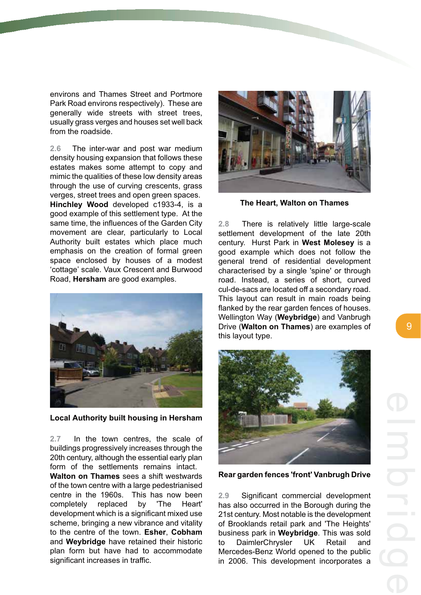environs and Thames Street and Portmore Park Road environs respectively). These are generally wide streets with street trees, usually grass verges and houses set well back from the roadside.

**2.6** The inter-war and post war medium density housing expansion that follows these estates makes some attempt to copy and mimic the qualities of these low density areas through the use of curving crescents, grass verges, street trees and open green spaces. **Hinchley Wood** developed c1933-4, is a good example of this settlement type. At the same time, the influences of the Garden City movement are clear, particularly to Local Authority built estates which place much emphasis on the creation of formal green space enclosed by houses of a modest 'cottage' scale. Vaux Crescent and Burwood Road, **Hersham** are good examples.



**Local Authority built housing in Hersham**

**2.7** In the town centres, the scale of buildings progressively increases through the 20th century, although the essential early plan form of the settlements remains intact.

**Walton on Thames** sees a shift westwards of the town centre with a large pedestrianised centre in the 1960s. This has now been completely replaced by 'The Heart' development which is a significant mixed use scheme, bringing a new vibrance and vitality to the centre of the town. **Esher**, **Cobham** and **Weybridge** have retained their historic plan form but have had to accommodate significant increases in traffic.



**The Heart, Walton on Thames**

**2.8** There is relatively little large-scale settlement development of the late 20th century. Hurst Park in **West Molesey** is a good example which does not follow the general trend of residential development characterised by a single 'spine' or through road. Instead, a series of short, curved cul-de-sacs are located off a secondary road. This layout can result in main roads being flanked by the rear garden fences of houses. Wellington Way (**Weybridge**) and Vanbrugh Drive (**Walton on Thames**) are examples of this layout type.



**Rear garden fences 'front' Vanbrugh Drive**

**2.9** Significant commercial development has also occurred in the Borough during the 21st century. Most notable is the development of Brooklands retail park and 'The Heights' business park in **Weybridge**. This was sold to DaimlerChrysler UK Retail and Mercedes-Benz World opened to the public in 2006. This development incorporates a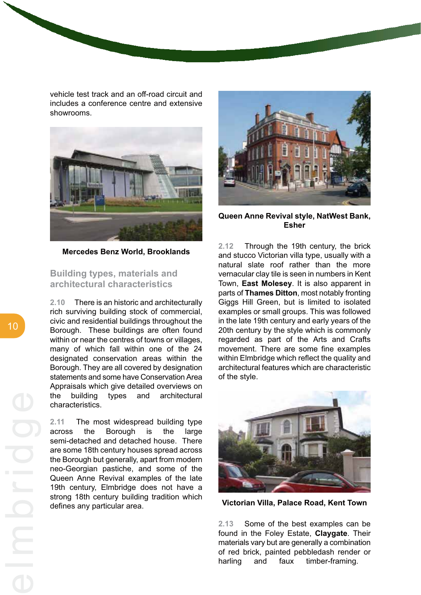vehicle test track and an off-road circuit and includes a conference centre and extensive showrooms.



**Mercedes Benz World, Brooklands**

**Building types, materials and architectural characteristics**

**2.10** There is an historic and architecturally rich surviving building stock of commercial, civic and residential buildings throughout the Borough. These buildings are often found within or near the centres of towns or villages, many of which fall within one of the 24 designated conservation areas within the Borough. They are all covered by designation statements and some have Conservation Area Appraisals which give detailed overviews on the building types and architectural characteristics.

**2.11** The most widespread building type across the Borough is the large semi-detached and detached house. There are some 18th century houses spread across the Borough but generally, apart from modern neo-Georgian pastiche, and some of the Queen Anne Revival examples of the late 19th century, Elmbridge does not have a strong 18th century building tradition which defines any particular area.



**Queen Anne Revival style, NatWest Bank, Esher**

**2.12** Through the 19th century, the brick and stucco Victorian villa type, usually with a natural slate roof rather than the more vernacular clay tile is seen in numbers in Kent Town, **East Molesey**. It is also apparent in parts of **Thames Ditton**, most notably fronting Giggs Hill Green, but is limited to isolated examples or small groups. This was followed in the late 19th century and early years of the 20th century by the style which is commonly regarded as part of the Arts and Crafts movement. There are some fine examples within Elmbridge which reflect the quality and architectural features which are characteristic of the style.



**Victorian Villa, Palace Road, Kent Town**

**2.13** Some of the best examples can be found in the Foley Estate, **Claygate**. Their materials vary but are generally a combination of red brick, painted pebbledash render or harling and faux timber-framing.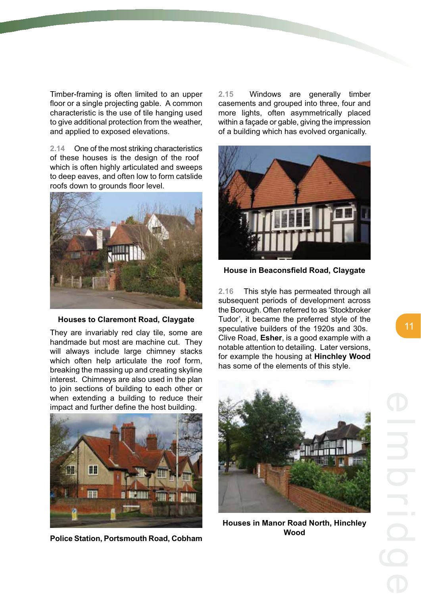Timber-framing is often limited to an upper floor or a single projecting gable. A common characteristic is the use of tile hanging used to give additional protection from the weather, and applied to exposed elevations.

**2.14** One of the most striking characteristics of these houses is the design of the roof which is often highly articulated and sweeps to deep eaves, and often low to form catslide roofs down to grounds floor level.



### **Houses to Claremont Road, Claygate**

They are invariably red clay tile, some are handmade but most are machine cut. They will always include large chimney stacks which often help articulate the roof form. breaking the massing up and creating skyline interest. Chimneys are also used in the plan to join sections of building to each other or when extending a building to reduce their impact and further define the host building.



**Police Station, Portsmouth Road, Cobham**

**2.15** Windows are generally timber casements and grouped into three, four and more lights, often asymmetrically placed within a façade or gable, giving the impression of a building which has evolved organically.



**House in Beaconsfield Road, Claygate**

**2.16** This style has permeated through all subsequent periods of development across the Borough. Often referred to as 'Stockbroker Tudor', it became the preferred style of the speculative builders of the 1920s and 30s. Clive Road, **Esher**, is a good example with a notable attention to detailing. Later versions, for example the housing at **Hinchley Wood** has some of the elements of this style.



**Houses in Manor Road North, Hinchley Wood**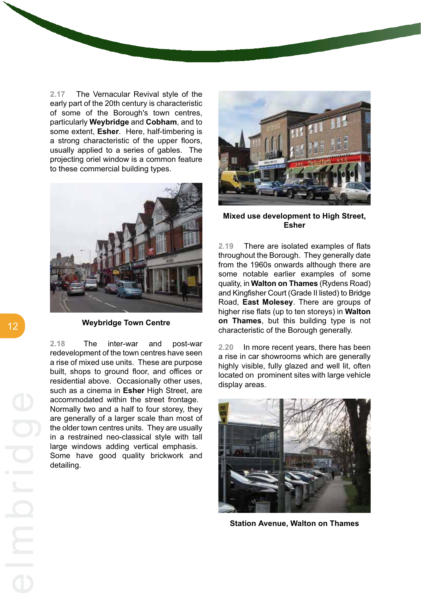**2.17** The Vernacular Revival style of the early part of the 20th century is characteristic of some of the Borough's town centres, particularly **Weybridge** and **Cobham**, and to some extent, **Esher**. Here, half-timbering is a strong characteristic of the upper floors, usually applied to a series of gables. The projecting oriel window is a common feature to these commercial building types.



**Weybridge Town Centre**

**2.18** The inter-war and post-war redevelopment of the town centres have seen a rise of mixed use units. These are purpose built, shops to ground floor, and offices or residential above. Occasionally other uses, such as a cinema in **Esher** High Street, are accommodated within the street frontage. Normally two and a half to four storey, they are generally of a larger scale than most of the older town centres units. They are usually in a restrained neo-classical style with tall large windows adding vertical emphasis. Some have good quality brickwork and detailing.



**Mixed use development to High Street, Esher**

**2.19** There are isolated examples of flats throughout the Borough. They generally date from the 1960s onwards although there are some notable earlier examples of some quality, in **Walton on Thames** (Rydens Road) and Kingfisher Court (Grade II listed) to Bridge Road, **East Molesey**. There are groups of higher rise flats (up to ten storeys) in **Walton on Thames**, but this building type is not characteristic of the Borough generally.

**2.20** In more recent years, there has been a rise in car showrooms which are generally highly visible, fully glazed and well lit, often located on prominent sites with large vehicle display areas.



**Station Avenue, Walton on Thames**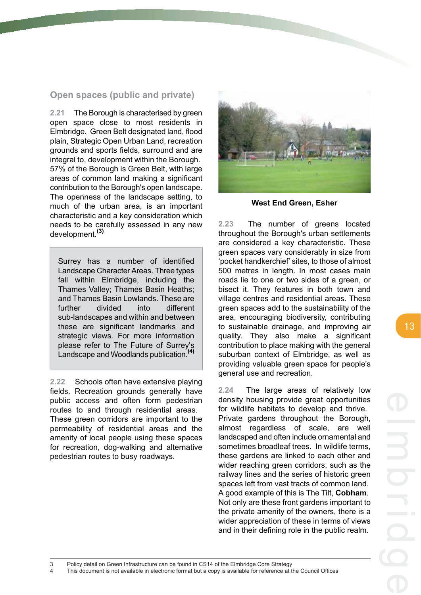# **Open spaces (public and private)**

**2.21** The Borough is characterised by green open space close to most residents in Elmbridge. Green Belt designated land, flood plain, Strategic Open Urban Land, recreation grounds and sports fields, surround and are integral to, development within the Borough. 57% of the Borough is Green Belt, with large areas of common land making a significant contribution to the Borough's open landscape. The openness of the landscape setting, to much of the urban area, is an important characteristic and a key consideration which needs to be carefully assessed in any new development.**(3)**

Surrey has a number of identified Landscape Character Areas. Three types fall within Elmbridge, including the Thames Valley; Thames Basin Heaths; and Thames Basin Lowlands. These are further divided into different sub-landscapes and within and between these are significant landmarks and strategic views. For more information please refer to The Future of Surrey's Landscape and Woodlands publication.**(4)**

**2.22** Schools often have extensive playing fields. Recreation grounds generally have public access and often form pedestrian routes to and through residential areas. These green corridors are important to the permeability of residential areas and the amenity of local people using these spaces for recreation, dog-walking and alternative pedestrian routes to busy roadways.



**West End Green, Esher**

**2.23** The number of greens located throughout the Borough's urban settlements are considered a key characteristic. These green spaces vary considerably in size from 'pocket handkerchief' sites, to those of almost 500 metres in length. In most cases main roads lie to one or two sides of a green, or bisect it. They features in both town and village centres and residential areas. These green spaces add to the sustainability of the area, encouraging biodiversity, contributing to sustainable drainage, and improving air quality. They also make a significant contribution to place making with the general suburban context of Elmbridge, as well as providing valuable green space for people's general use and recreation.

**2.24** The large areas of relatively low density housing provide great opportunities for wildlife habitats to develop and thrive. Private gardens throughout the Borough, almost regardless of scale, are well landscaped and often include ornamental and sometimes broadleaf trees. In wildlife terms, these gardens are linked to each other and wider reaching green corridors, such as the railway lines and the series of historic green spaces left from vast tracts of common land. A good example of this is The Tilt, **Cobham**. Not only are these front gardens important to the private amenity of the owners, there is a wider appreciation of these in terms of views and in their defining role in the public realm.

13

This document is not available in electronic format but a copy is available for reference at the Council Offices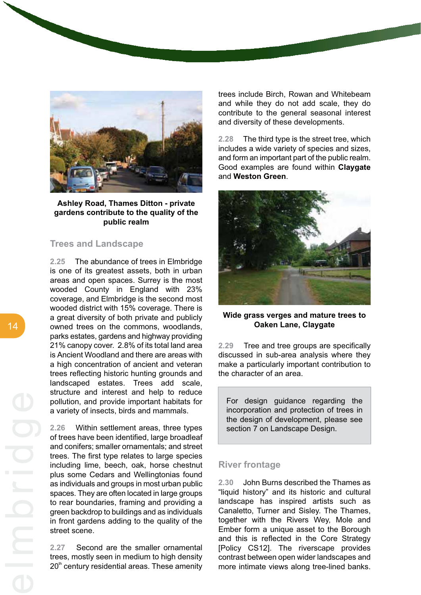

### **Ashley Road, Thames Ditton - private gardens contribute to the quality of the public realm**

### **Trees and Landscape**

**2.25** The abundance of trees in Elmbridge is one of its greatest assets, both in urban areas and open spaces. Surrey is the most wooded County in England with 23% coverage, and Elmbridge is the second most wooded district with 15% coverage. There is a great diversity of both private and publicly owned trees on the commons, woodlands, parks estates, gardens and highway providing 21% canopy cover. 2.8% of its total land area is Ancient Woodland and there are areas with a high concentration of ancient and veteran trees reflecting historic hunting grounds and landscaped estates. Trees add scale, structure and interest and help to reduce pollution, and provide important habitats for a variety of insects, birds and mammals.

**2.26** Within settlement areas, three types of trees have been identified, large broadleaf and conifers; smaller ornamentals; and street trees. The first type relates to large species including lime, beech, oak, horse chestnut plus some Cedars and Wellingtonias found as individuals and groups in most urban public spaces. They are often located in large groups to rear boundaries, framing and providing a green backdrop to buildings and as individuals in front gardens adding to the quality of the street scene.

**2.27** Second are the smaller ornamental trees, mostly seen in medium to high density  $20<sup>th</sup>$  century residential areas. These amenity trees include Birch, Rowan and Whitebeam and while they do not add scale, they do contribute to the general seasonal interest and diversity of these developments.

**2.28** The third type is the street tree, which includes a wide variety of species and sizes, and form an important part of the public realm. Good examples are found within **Claygate** and **Weston Green**.



### **Wide grass verges and mature trees to Oaken Lane, Claygate**

**2.29** Tree and tree groups are specifically discussed in sub-area analysis where they make a particularly important contribution to the character of an area.

For design guidance regarding the incorporation and protection of trees in the design of development, please see section 7 on Landscape Design.

## **River frontage**

**2.30** John Burns described the Thames as "liquid history" and its historic and cultural landscape has inspired artists such as Canaletto, Turner and Sisley. The Thames, together with the Rivers Wey, Mole and Ember form a unique asset to the Borough and this is reflected in the Core Strategy [Policy CS12]. The riverscape provides contrast between open wider landscapes and more intimate views along tree-lined banks.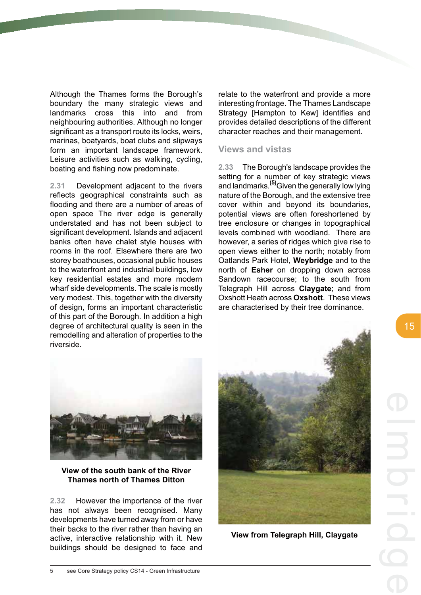Although the Thames forms the Borough's boundary the many strategic views and landmarks cross this into and from neighbouring authorities. Although no longer significant as a transport route its locks, weirs, marinas, boatyards, boat clubs and slipways form an important landscape framework. Leisure activities such as walking, cycling, boating and fishing now predominate.

**2.31** Development adjacent to the rivers reflects geographical constraints such as flooding and there are a number of areas of open space The river edge is generally understated and has not been subject to significant development. Islands and adjacent banks often have chalet style houses with rooms in the roof. Elsewhere there are two storey boathouses, occasional public houses to the waterfront and industrial buildings, low key residential estates and more modern wharf side developments. The scale is mostly very modest. This, together with the diversity of design, forms an important characteristic of this part of the Borough. In addition a high degree of architectural quality is seen in the remodelling and alteration of properties to the riverside.

relate to the waterfront and provide a more interesting frontage. The Thames Landscape Strategy [Hampton to Kew] identifies and provides detailed descriptions of the different character reaches and their management.

### **Views and vistas**

**2.33** The Borough's landscape provides the setting for a number of key strategic views and landmarks.**(5)**Given the generally low lying nature of the Borough, and the extensive tree cover within and beyond its boundaries, potential views are often foreshortened by tree enclosure or changes in topographical levels combined with woodland. There are however, a series of ridges which give rise to open views either to the north; notably from Oatlands Park Hotel, **Weybridge** and to the north of **Esher** on dropping down across Sandown racecourse; to the south from Telegraph Hill across **Claygate**; and from Oxshott Heath across **Oxshott**. These views are characterised by their tree dominance.



**View of the south bank of the River Thames north of Thames Ditton**

**2.32** However the importance of the river has not always been recognised. Many developments have turned away from or have their backs to the river rather than having an active, interactive relationship with it. New buildings should be designed to face and



**View from Telegraph Hill, Claygate**